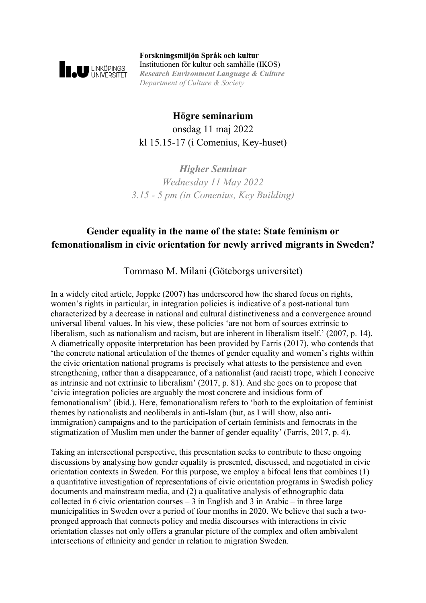

**Forskningsmiljön Språk och kultur** Institutionen för kultur och samhälle (IKOS) *Research Environment Language & Culture Department of Culture & Society*

**Högre seminarium** onsdag 11 maj 2022 kl 15.15-17 (i Comenius, Key-huset)

*Higher Seminar Wednesday 11 May 2022 3.15 - 5 pm (in Comenius, Key Building)*

## **Gender equality in the name of the state: State feminism or femonationalism in civic orientation for newly arrived migrants in Sweden?**

Tommaso M. Milani (Göteborgs universitet)

In a widely cited article, Joppke (2007) has underscored how the shared focus on rights, women's rights in particular, in integration policies is indicative of a post-national turn characterized by a decrease in national and cultural distinctiveness and a convergence around universal liberal values. In his view, these policies 'are not born of sources extrinsic to liberalism, such as nationalism and racism, but are inherent in liberalism itself.' (2007, p. 14). A diametrically opposite interpretation has been provided by Farris (2017), who contends that 'the concrete national articulation of the themes of gender equality and women's rights within the civic orientation national programs is precisely what attests to the persistence and even strengthening, rather than a disappearance, of a nationalist (and racist) trope, which I conceive as intrinsic and not extrinsic to liberalism' (2017, p. 81). And she goes on to propose that 'civic integration policies are arguably the most concrete and insidious form of femonationalism' (ibid.). Here, femonationalism refers to 'both to the exploitation of feminist themes by nationalists and neoliberals in anti-Islam (but, as I will show, also antiimmigration) campaigns and to the participation of certain feminists and femocrats in the stigmatization of Muslim men under the banner of gender equality' (Farris, 2017, p. 4).

Taking an intersectional perspective, this presentation seeks to contribute to these ongoing discussions by analysing how gender equality is presented, discussed, and negotiated in civic orientation contexts in Sweden. For this purpose, we employ a bifocal lens that combines (1) a quantitative investigation of representations of civic orientation programs in Swedish policy documents and mainstream media, and (2) a qualitative analysis of ethnographic data collected in 6 civic orientation courses  $-3$  in English and 3 in Arabic – in three large municipalities in Sweden over a period of four months in 2020. We believe that such a twopronged approach that connects policy and media discourses with interactions in civic orientation classes not only offers a granular picture of the complex and often ambivalent intersections of ethnicity and gender in relation to migration Sweden.